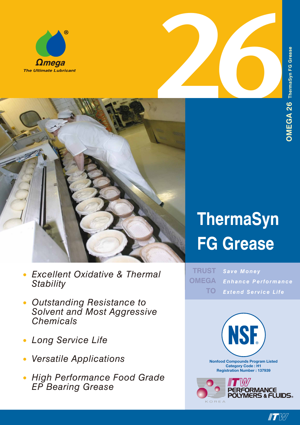





# **ThermaSyn FG Grease**

*Save Money Enhance Performance Extend Service Life* **TRUST OMEGA TO**



- *Excellent Oxidative & Thermal • Stability*
- *Outstanding Resistance to Solvent and Most Aggressive Chemicals •*
- *Long Service Life •*
- *Versatile Applications •*
- *High Performance Food Grade EP Bearing Grease •*

 $\blacksquare$